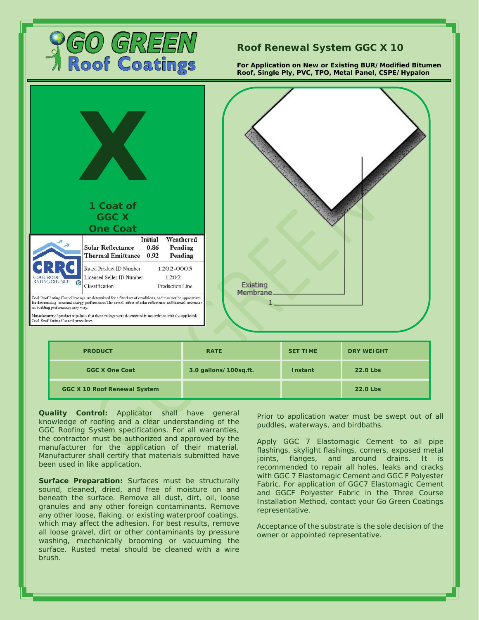

## **Roof Renewal System GGC X 10**

**For Application on New or Existing BUR/Modified Bitumen Roof, Single Ply, PVC, TPO, Metal Panel, CSPE/Hypalon**



| <b>PRODUCT</b>               | <b>RATE</b>           | <b>SET TIME</b> | <b>DRY WEIGHT</b> |
|------------------------------|-----------------------|-----------------|-------------------|
| GGC X One Coat               | 3.0 gallons/100sq.ft. | Instant         | 22.0 Lbs          |
| GGC X 10 Roof Renewal System |                       |                 | 22.0 Lbs          |

**Quality Control:** Applicator shall have general knowledge of roofing and a clear understanding of the GGC Roofing System specifications. For all warranties, the contractor must be authorized and approved by the manufacturer for the application of their material. Manufacturer shall certify that materials submitted have been used in like application.

**Surface Preparation:** Surfaces must be structurally sound, cleaned, dried, and free of moisture on and beneath the surface. Remove all dust, dirt, oil, loose granules and any other foreign contaminants. Remove any other loose, flaking. or existing waterproof coatings, which may affect the adhesion. For best results, remove all loose gravel, dirt or other contaminants by pressure washing, mechanically brooming or vacuuming the surface. Rusted metal should be cleaned with a wire brush.

Prior to application water must be swept out of all puddles, waterways, and birdbaths.

Apply GGC 7 Elastomagic Cement to all pipe flashings, skylight flashings, corners, exposed metal joints, flanges, and around drains. It is recommended to repair all holes, leaks and cracks with GGC 7 Elastomagic Cement and GGC F Polyester Fabric. For application of GGC7 Elastomagic Cement and GGCF Polyester Fabric in the Three Course Installation Method, contact your Go Green Coatings representative.

Acceptance of the substrate is the sole decision of the owner or appointed representative.